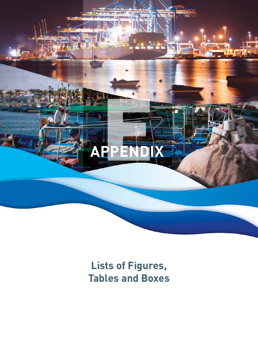<span id="page-0-0"></span>

## **Lists of Figures, Tables and Boxes**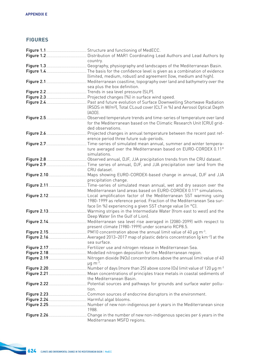## **FIGURES**

| Figure 1.2 <u>Carrolline Communicum</u> Distribution of MAR1 Coordinating Lead Authors and Lead Authors by                            |
|---------------------------------------------------------------------------------------------------------------------------------------|
| country.                                                                                                                              |
|                                                                                                                                       |
|                                                                                                                                       |
| (limited, medium, robust) and agreement (low, medium and high).                                                                       |
|                                                                                                                                       |
| sea plus the box definition.                                                                                                          |
|                                                                                                                                       |
|                                                                                                                                       |
| Figure 2.4 <u>Carrian Communic Clear</u> Charles Communicum Cast and future evolution of Surface Downwelling Shortwave Radiation      |
| (RSDS in W/m <sup>2</sup> ), Total CLoud cover (CLT in %) and Aerosol Optical Depth                                                   |
| $(AOD)$ .                                                                                                                             |
|                                                                                                                                       |
| Observed temperature trends and time-series of temperature over land                                                                  |
| for the Mediterranean based on the Climatic Research Unit (CRU) grid-                                                                 |
| ded observations.                                                                                                                     |
| Projected changes in annual temperature between the recent past ref-                                                                  |
| erence period three future sub-periods.                                                                                               |
| . Time-series of simulated mean annual, summer and winter tempera-                                                                    |
| ture averaged over the Mediterranean based on EURO-CORDEX 0.11°                                                                       |
| simulations.                                                                                                                          |
|                                                                                                                                       |
| Time series of annual, DJF, and JJA precipitation over land from the                                                                  |
| CRU dataset.                                                                                                                          |
| Maps showing EURO-CORDEX-based change in annual, DJF and JJA                                                                          |
| precipitation change.                                                                                                                 |
|                                                                                                                                       |
| Mediterranean land areas based on EURO-CORDEX 0.11° simulations.                                                                      |
| Local amplification factor of the Mediterranean SST warming using                                                                     |
| 1980-1999 as reference period. Fraction of the Mediterranean Sea sur-                                                                 |
| face (in %) experiencing a given SST change value (in °C).                                                                            |
| Warming stripes in the Intermediate Water (from east to west) and the                                                                 |
| Deep Water (in the Gulf of Lion).                                                                                                     |
|                                                                                                                                       |
| present climate (1980-1999) under scenario RCP8.5.                                                                                    |
|                                                                                                                                       |
|                                                                                                                                       |
| sea surface.                                                                                                                          |
|                                                                                                                                       |
|                                                                                                                                       |
| Figure 2.19 <u>Carrolla Communic Communical</u> Nitrogen dioxide (NO <sub>2</sub> ) concentrations above the annual limit value of 40 |
| $\mu$ g m <sup>-3</sup> .                                                                                                             |
|                                                                                                                                       |
|                                                                                                                                       |
| the Mediterranean Basin.                                                                                                              |
|                                                                                                                                       |
| tion.                                                                                                                                 |
|                                                                                                                                       |
|                                                                                                                                       |
|                                                                                                                                       |
|                                                                                                                                       |
| 1988.                                                                                                                                 |
|                                                                                                                                       |
| Mediterranean MSFD regions.                                                                                                           |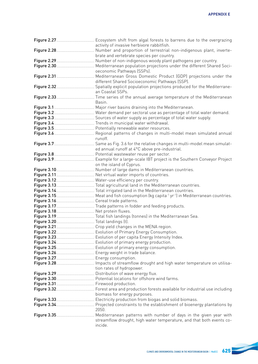| activity of invasive herbivore rabbitfish.                                                                         |
|--------------------------------------------------------------------------------------------------------------------|
|                                                                                                                    |
| brate and vertebrate species per country.                                                                          |
|                                                                                                                    |
| Figure 2.30 <b>Manual Engineer Construct</b> Mediterranean population projections under the different Shared Soci- |
| oeconomic Pathways (SSPs).                                                                                         |
|                                                                                                                    |
| different Shared Socioeconomic Pathways (SSP).                                                                     |
|                                                                                                                    |
| an Coastal SSPs.                                                                                                   |
|                                                                                                                    |
| Basin.                                                                                                             |
|                                                                                                                    |
|                                                                                                                    |
|                                                                                                                    |
|                                                                                                                    |
|                                                                                                                    |
|                                                                                                                    |
|                                                                                                                    |
|                                                                                                                    |
|                                                                                                                    |
|                                                                                                                    |
|                                                                                                                    |
|                                                                                                                    |
|                                                                                                                    |
|                                                                                                                    |
|                                                                                                                    |
|                                                                                                                    |
|                                                                                                                    |
|                                                                                                                    |
|                                                                                                                    |
|                                                                                                                    |
|                                                                                                                    |
|                                                                                                                    |
|                                                                                                                    |
|                                                                                                                    |
|                                                                                                                    |
|                                                                                                                    |
|                                                                                                                    |
|                                                                                                                    |
|                                                                                                                    |
|                                                                                                                    |
| tion rates of hydropower.                                                                                          |
|                                                                                                                    |
|                                                                                                                    |
|                                                                                                                    |
|                                                                                                                    |
| biomass for energy purposes.                                                                                       |
|                                                                                                                    |
|                                                                                                                    |
| 2050.                                                                                                              |
|                                                                                                                    |
| streamflow drought, high water temperature, and that both events co-                                               |
| incide.                                                                                                            |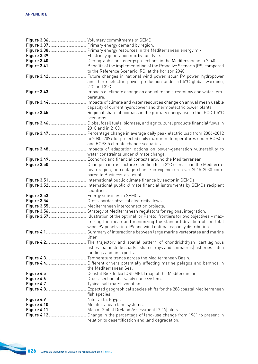|                                                                      | to the Reference Scenario (RS) at the horizon 2040.                                                 |
|----------------------------------------------------------------------|-----------------------------------------------------------------------------------------------------|
|                                                                      |                                                                                                     |
|                                                                      | and thermoelectric power production under +1.5°C global warming,                                    |
|                                                                      | 2°C and 3°C.                                                                                        |
|                                                                      |                                                                                                     |
|                                                                      | perature.                                                                                           |
|                                                                      |                                                                                                     |
|                                                                      | capacity of current hydropower and thermoelectric power plants.                                     |
|                                                                      |                                                                                                     |
|                                                                      | scenarios.                                                                                          |
|                                                                      |                                                                                                     |
|                                                                      | 2010 and in 2100.                                                                                   |
|                                                                      |                                                                                                     |
|                                                                      | to 2080-2099 for projected daily maximum temperatures under RCP4.5                                  |
|                                                                      | and RCP8.5 climate change scenarios.                                                                |
|                                                                      |                                                                                                     |
|                                                                      | water constraints under climate change.                                                             |
|                                                                      |                                                                                                     |
|                                                                      |                                                                                                     |
|                                                                      | nean region, percentage change in expenditure over 2015-2030 com-                                   |
|                                                                      |                                                                                                     |
|                                                                      | pared to Business-as-usual.                                                                         |
|                                                                      |                                                                                                     |
|                                                                      | countries.                                                                                          |
|                                                                      |                                                                                                     |
| Figure 3.53. <u>Carriel Communication</u> Energy subsidies in SEMCs. |                                                                                                     |
|                                                                      |                                                                                                     |
|                                                                      |                                                                                                     |
|                                                                      |                                                                                                     |
|                                                                      |                                                                                                     |
|                                                                      |                                                                                                     |
|                                                                      | imizing the mean and minimizing the standard deviation of the total                                 |
|                                                                      | wind-PV penetration. PV and wind optimal capacity distribution.                                     |
|                                                                      |                                                                                                     |
|                                                                      | litter                                                                                              |
|                                                                      | Figure 4.2. <u>[</u> [[[Enter the summann mann and spatial pattern of chondrichthyan (cartilaginous |
|                                                                      | fishes that include sharks, skates, rays and chimaeras) fisheries catch                             |
|                                                                      | landings and fin exports.                                                                           |
|                                                                      |                                                                                                     |
|                                                                      |                                                                                                     |
|                                                                      | the Mediterranean Sea.                                                                              |
|                                                                      |                                                                                                     |
|                                                                      |                                                                                                     |
|                                                                      |                                                                                                     |
|                                                                      |                                                                                                     |
|                                                                      | fish species.                                                                                       |
|                                                                      |                                                                                                     |
| Figure 4.10. <u>[</u> [11] Mediterranean land systems.               |                                                                                                     |
|                                                                      |                                                                                                     |
|                                                                      | relation to desertification and land degradation.                                                   |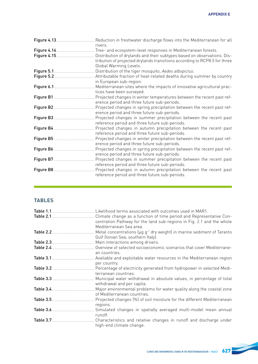|                         | rivers.                                                                                                                                                                        |
|-------------------------|--------------------------------------------------------------------------------------------------------------------------------------------------------------------------------|
|                         |                                                                                                                                                                                |
| Figure 4.15. 2008. 2014 | Distribution of drylands and their subtypes based on observations. Dis-<br>tribution of projected drylands transitions according to RCP8.5 for three<br>Global Warming Levels. |
|                         |                                                                                                                                                                                |
|                         | in European sub-region.                                                                                                                                                        |
|                         | Mediterranean sites where the impacts of innovative agricultural prac-<br>tices have been surveyed.                                                                            |
|                         | Projected changes in winter temperatures between the recent past ref-<br>erence period and three future sub-periods.                                                           |
|                         | Projected changes in spring precipitation between the recent past ref-<br>erence period and three future sub-periods.                                                          |
|                         | Projected changes in summer precipitation between the recent past<br>reference period and three future sub-periods.                                                            |
|                         | Projected changes in autumn precipitation between the recent past<br>reference period and three future sub-periods.                                                            |
|                         | Projected changes in winter precipitation between the recent past ref-<br>erence period and three future sub-periods.                                                          |
|                         | Projected changes in spring precipitation between the recent past ref-<br>erence period and three future sub-periods.                                                          |
|                         | Projected changes in summer precipitation between the recent past<br>reference period and three future sub-periods.                                                            |
|                         | Projected changes in autumn precipitation between the recent past<br>reference period and three future sub-periods.                                                            |

,我们也不会有什么。""我们的人,我们也不会有什么?""我们的人,我们也不会有什么?""我们的人,我们也不会有什么?""我们的人,我们也不会有什么?""我们的人

## **TABLES**

|           | centration Pathway for the land sub-regions in Fig. 2.1 and the whole                               |
|-----------|-----------------------------------------------------------------------------------------------------|
|           | Mediterranean Sea area.                                                                             |
|           | Metal concentrations (µg g <sup>-1</sup> dry weight) in marine sediment of Taranto                  |
|           | Gulf (Ionian Sea, southern Italy).                                                                  |
|           |                                                                                                     |
|           | an countries.                                                                                       |
|           | Available and exploitable water resources in the Mediterranean region                               |
|           | per country.                                                                                        |
|           | Percentage of electricity generated from hydropower in selected Medi-<br>terranean countries.       |
|           | Municipal water withdrawal in absolute values, in percentage of total<br>withdrawal and per capita. |
|           | Major environmental problems for water quality along the coastal zone                               |
|           | of Mediterranean countries.                                                                         |
| Table 3.5 | Projected changes (%) of soil moisture for the different Mediterranean                              |
|           | regions.                                                                                            |
|           | Simulated changes in spatially averaged multi-model mean annual<br>runoff.                          |
|           | . Characteristics and relative changes in runoff and discharge under                                |
|           | high-end climate change.                                                                            |